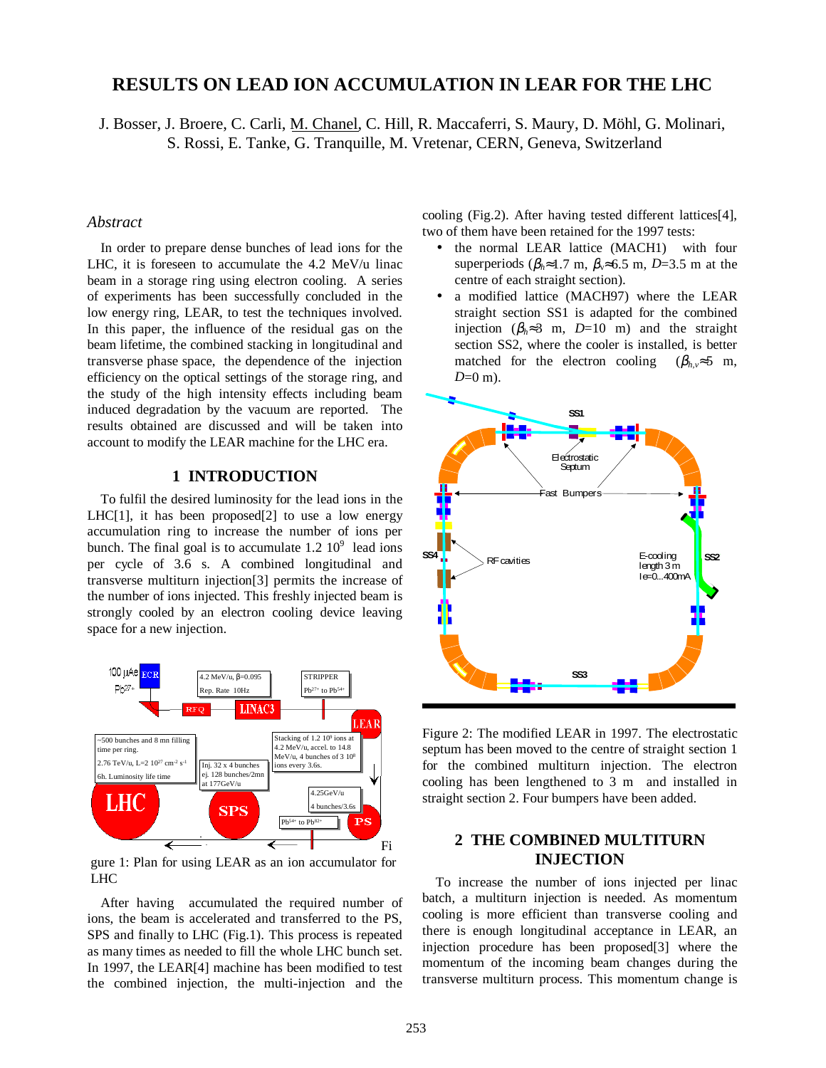# **RESULTS ON LEAD ION ACCUMULATION IN LEAR FOR THE LHC**

J. Bosser, J. Broere, C. Carli, M. Chanel, C. Hill, R. Maccaferri, S. Maury, D. Möhl, G. Molinari, S. Rossi, E. Tanke, G. Tranquille, M. Vretenar, CERN, Geneva, Switzerland

#### *Abstract*

In order to prepare dense bunches of lead ions for the LHC, it is foreseen to accumulate the 4.2 MeV/u linac beam in a storage ring using electron cooling. A series of experiments has been successfully concluded in the low energy ring, LEAR, to test the techniques involved. In this paper, the influence of the residual gas on the beam lifetime, the combined stacking in longitudinal and transverse phase space, the dependence of the injection efficiency on the optical settings of the storage ring, and the study of the high intensity effects including beam induced degradation by the vacuum are reported. The results obtained are discussed and will be taken into account to modify the LEAR machine for the LHC era.

## **1 INTRODUCTION**

To fulfil the desired luminosity for the lead ions in the LHC $[1]$ , it has been proposed $[2]$  to use a low energy accumulation ring to increase the number of ions per bunch. The final goal is to accumulate  $1.2 \times 10^9$  lead ions per cycle of 3.6 s. A combined longitudinal and transverse multiturn injection[3] permits the increase of the number of ions injected. This freshly injected beam is strongly cooled by an electron cooling device leaving space for a new injection.



gure 1: Plan for using LEAR as an ion accumulator for LHC

After having accumulated the required number of ions, the beam is accelerated and transferred to the PS, SPS and finally to LHC (Fig.1). This process is repeated as many times as needed to fill the whole LHC bunch set. In 1997, the LEAR[4] machine has been modified to test the combined injection, the multi-injection and the cooling (Fig.2). After having tested different lattices[4], two of them have been retained for the 1997 tests:

- the normal LEAR lattice (MACH1) with four superperiods ( $\beta_h \approx 1.7$  m,  $\beta_v \approx 6.5$  m, *D*=3.5 m at the centre of each straight section).
- a modified lattice (MACH97) where the LEAR straight section SS1 is adapted for the combined injection ( $\beta_h \approx 3$  m, *D*=10 m) and the straight section SS2, where the cooler is installed, is better matched for the electron cooling  $(\beta_h, \approx 5 \text{ m})$ , *D*=0 m).



Figure 2: The modified LEAR in 1997. The electrostatic septum has been moved to the centre of straight section 1 for the combined multiturn injection. The electron cooling has been lengthened to 3 m and installed in straight section 2. Four bumpers have been added.

## **2 THE COMBINED MULTITURN INJECTION**

To increase the number of ions injected per linac batch, a multiturn injection is needed. As momentum cooling is more efficient than transverse cooling and there is enough longitudinal acceptance in LEAR, an injection procedure has been proposed[3] where the momentum of the incoming beam changes during the transverse multiturn process. This momentum change is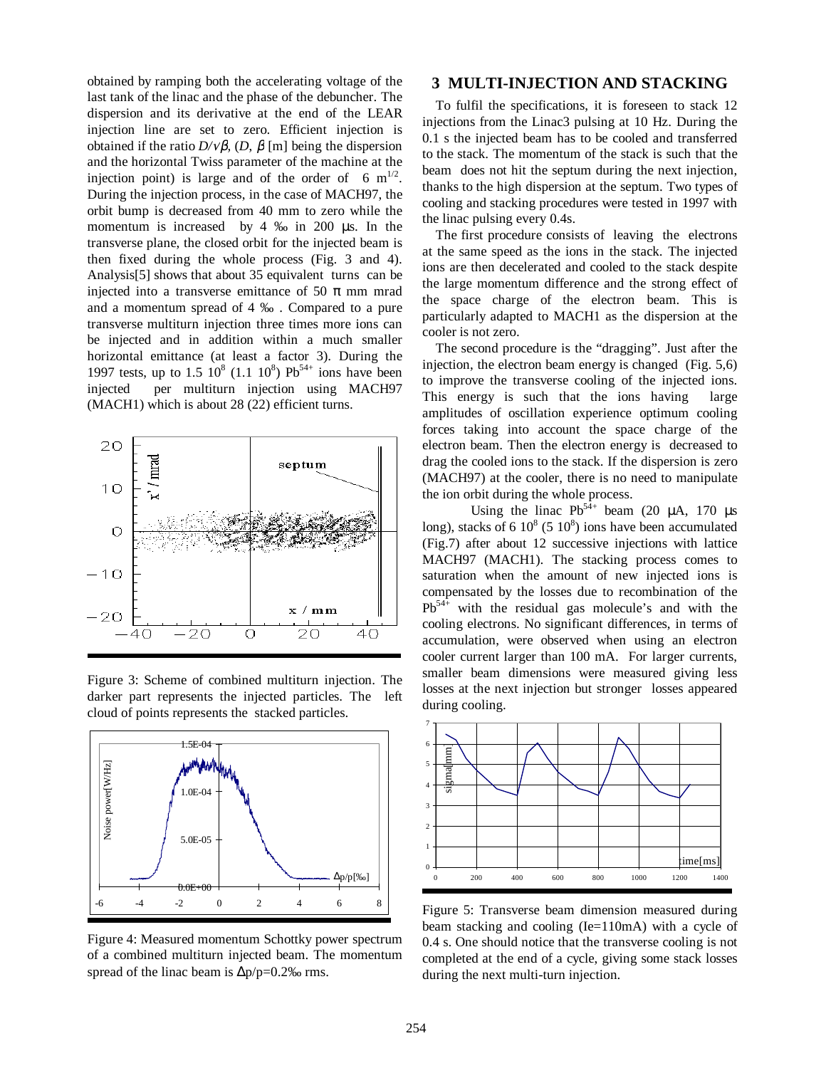obtained by ramping both the accelerating voltage of the last tank of the linac and the phase of the debuncher. The dispersion and its derivative at the end of the LEAR injection line are set to zero. Efficient injection is obtained if the ratio *D/*√β*,* (*D*, β [m] being the dispersion and the horizontal Twiss parameter of the machine at the injection point) is large and of the order of 6  $m^{1/2}$ . During the injection process, in the case of MACH97, the orbit bump is decreased from 40 mm to zero while the momentum is increased by 4 ‰ in 200 µs. In the transverse plane, the closed orbit for the injected beam is then fixed during the whole process (Fig. 3 and 4). Analysis[5] shows that about 35 equivalent turns can be injected into a transverse emittance of 50  $\pi$  mm mrad and a momentum spread of 4 ‰ . Compared to a pure transverse multiturn injection three times more ions can be injected and in addition within a much smaller horizontal emittance (at least a factor 3). During the 1997 tests, up to 1.5  $10^8$  (1.1  $10^8$ ) Pb<sup>54+</sup> ions have been injected per multiturn injection using MACH97 (MACH1) which is about 28 (22) efficient turns.



Figure 3: Scheme of combined multiturn injection. The darker part represents the injected particles. The left cloud of points represents the stacked particles.



Figure 4: Measured momentum Schottky power spectrum of a combined multiturn injected beam. The momentum spread of the linac beam is ∆p/p=0.2‰ rms.

#### **3 MULTI-INJECTION AND STACKING**

To fulfil the specifications, it is foreseen to stack 12 injections from the Linac3 pulsing at 10 Hz. During the 0.1 s the injected beam has to be cooled and transferred to the stack. The momentum of the stack is such that the beam does not hit the septum during the next injection, thanks to the high dispersion at the septum. Two types of cooling and stacking procedures were tested in 1997 with the linac pulsing every 0.4s.

The first procedure consists of leaving the electrons at the same speed as the ions in the stack. The injected ions are then decelerated and cooled to the stack despite the large momentum difference and the strong effect of the space charge of the electron beam. This is particularly adapted to MACH1 as the dispersion at the cooler is not zero.

The second procedure is the "dragging". Just after the injection, the electron beam energy is changed (Fig. 5,6) to improve the transverse cooling of the injected ions. This energy is such that the ions having large amplitudes of oscillation experience optimum cooling forces taking into account the space charge of the electron beam. Then the electron energy is decreased to drag the cooled ions to the stack. If the dispersion is zero (MACH97) at the cooler, there is no need to manipulate the ion orbit during the whole process.

Using the linac  $Pb^{54+}$  beam (20  $\mu$ A, 170  $\mu$ s long), stacks of 6  $10^8$  (5  $10^8$ ) ions have been accumulated (Fig.7) after about 12 successive injections with lattice MACH97 (MACH1). The stacking process comes to saturation when the amount of new injected ions is compensated by the losses due to recombination of the  $Pb^{54+}$  with the residual gas molecule's and with the cooling electrons. No significant differences, in terms of accumulation, were observed when using an electron cooler current larger than 100 mA. For larger currents, smaller beam dimensions were measured giving less losses at the next injection but stronger losses appeared during cooling.



Figure 5: Transverse beam dimension measured during beam stacking and cooling (Ie=110mA) with a cycle of 0.4 s. One should notice that the transverse cooling is not completed at the end of a cycle, giving some stack losses during the next multi-turn injection.